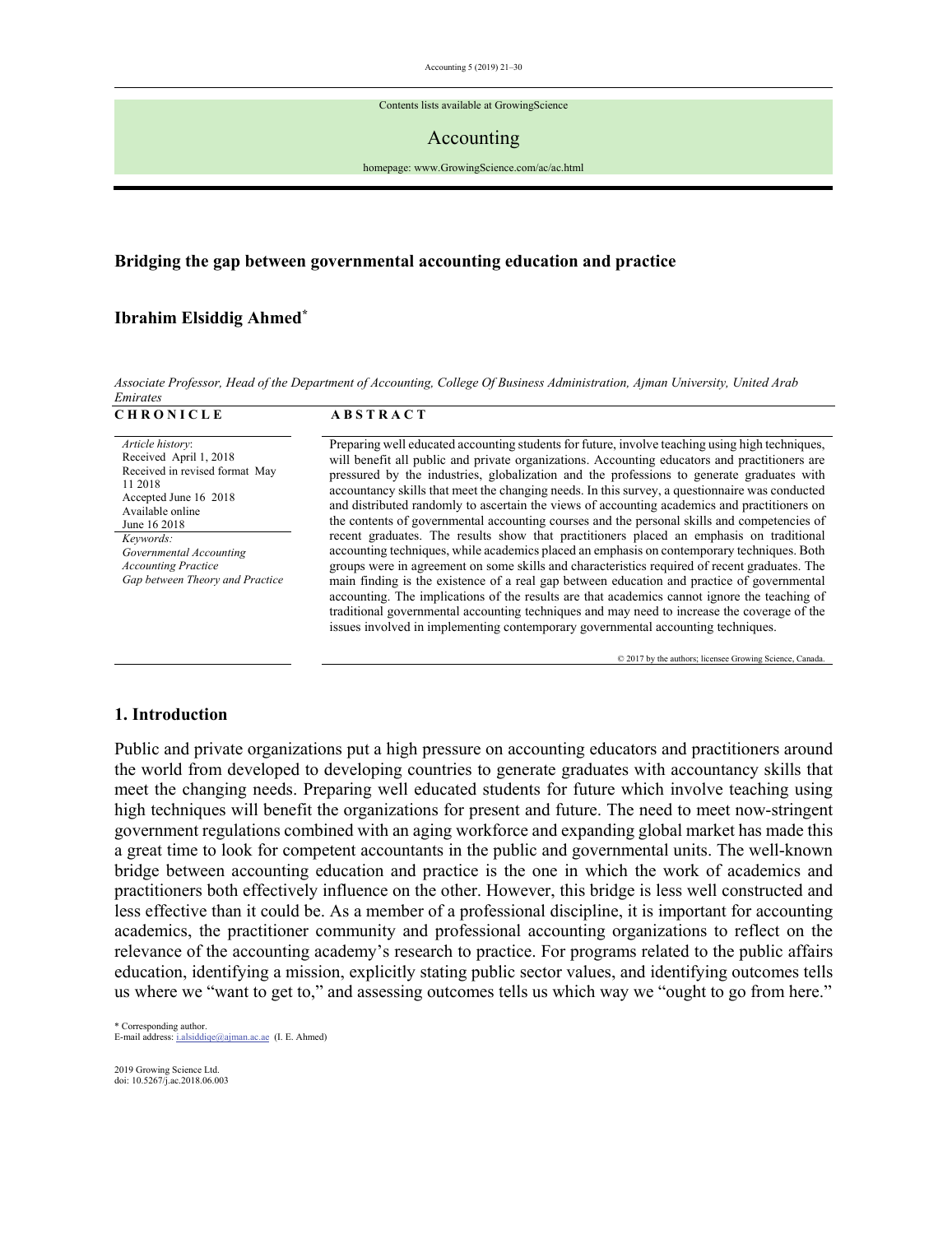Contents lists available at GrowingScience

#### Accounting

homepage: www.GrowingScience.com/ac/ac.html

## **Bridging the gap between governmental accounting education and practice**

## **Ibrahim Elsiddig Ahmed\***

*Associate Professor, Head of the Department of Accounting, College Of Business Administration, Ajman University, United Arab Emirates*

| <b>CHRONICLE</b>                                                                                                                                                                                                                                              | <b>ABSTRACT</b>                                                                                                                                                                                                                                                                                                                                                                                                                                                                                                                                                                                                                                                                                                                                                                                                                                                                                                                                                                                                                                                                                                                                                                                                                                                           |
|---------------------------------------------------------------------------------------------------------------------------------------------------------------------------------------------------------------------------------------------------------------|---------------------------------------------------------------------------------------------------------------------------------------------------------------------------------------------------------------------------------------------------------------------------------------------------------------------------------------------------------------------------------------------------------------------------------------------------------------------------------------------------------------------------------------------------------------------------------------------------------------------------------------------------------------------------------------------------------------------------------------------------------------------------------------------------------------------------------------------------------------------------------------------------------------------------------------------------------------------------------------------------------------------------------------------------------------------------------------------------------------------------------------------------------------------------------------------------------------------------------------------------------------------------|
| Article history:<br>Received April 1, 2018<br>Received in revised format May<br>11 2018<br>Accepted June 16 2018<br>Available online<br>June 16 2018<br>Keywords:<br>Governmental Accounting<br><b>Accounting Practice</b><br>Gap between Theory and Practice | Preparing well educated accounting students for future, involve teaching using high techniques,<br>will benefit all public and private organizations. Accounting educators and practitioners are<br>pressured by the industries, globalization and the professions to generate graduates with<br>accountancy skills that meet the changing needs. In this survey, a questionnaire was conducted<br>and distributed randomly to ascertain the views of accounting academics and practitioners on<br>the contents of governmental accounting courses and the personal skills and competencies of<br>recent graduates. The results show that practitioners placed an emphasis on traditional<br>accounting techniques, while academics placed an emphasis on contemporary techniques. Both<br>groups were in agreement on some skills and characteristics required of recent graduates. The<br>main finding is the existence of a real gap between education and practice of governmental<br>accounting. The implications of the results are that academics cannot ignore the teaching of<br>traditional governmental accounting techniques and may need to increase the coverage of the<br>issues involved in implementing contemporary governmental accounting techniques. |

© 2017 by the authors; licensee Growing Science, Canada.

#### **1. Introduction**

Public and private organizations put a high pressure on accounting educators and practitioners around the world from developed to developing countries to generate graduates with accountancy skills that meet the changing needs. Preparing well educated students for future which involve teaching using high techniques will benefit the organizations for present and future. The need to meet now-stringent government regulations combined with an aging workforce and expanding global market has made this a great time to look for competent accountants in the public and governmental units. The well-known bridge between accounting education and practice is the one in which the work of academics and practitioners both effectively influence on the other. However, this bridge is less well constructed and less effective than it could be. As a member of a professional discipline, it is important for accounting academics, the practitioner community and professional accounting organizations to reflect on the relevance of the accounting academy's research to practice. For programs related to the public affairs education, identifying a mission, explicitly stating public sector values, and identifying outcomes tells us where we "want to get to," and assessing outcomes tells us which way we "ought to go from here."

\* Corresponding author. E-mail address: i.alsiddiqe@ajman.ac.ae (I. E. Ahmed)

2019 Growing Science Ltd. doi: 10.5267/j.ac.2018.06.003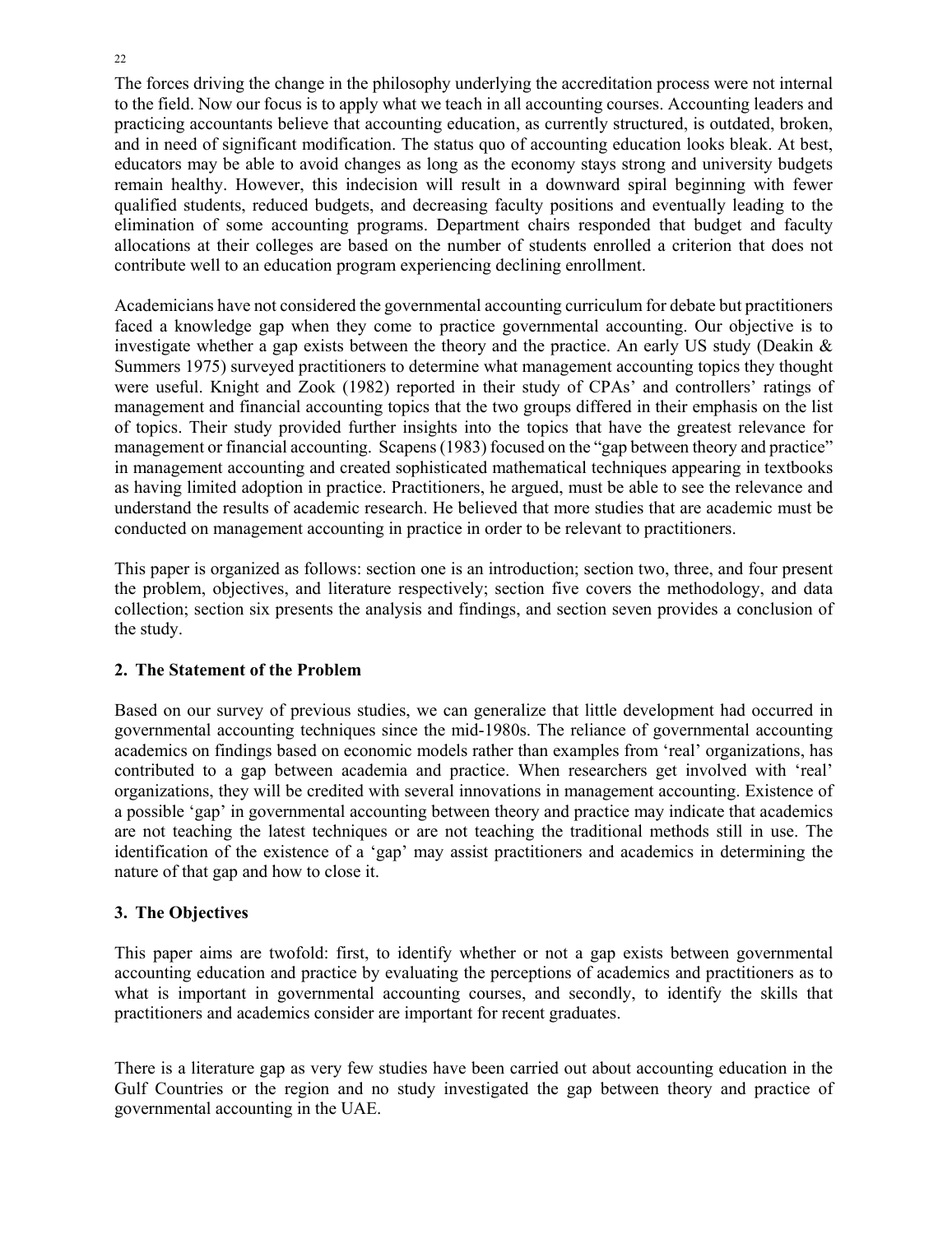The forces driving the change in the philosophy underlying the accreditation process were not internal to the field. Now our focus is to apply what we teach in all accounting courses. Accounting leaders and practicing accountants believe that accounting education, as currently structured, is outdated, broken, and in need of significant modification. The status quo of accounting education looks bleak. At best, educators may be able to avoid changes as long as the economy stays strong and university budgets remain healthy. However, this indecision will result in a downward spiral beginning with fewer qualified students, reduced budgets, and decreasing faculty positions and eventually leading to the elimination of some accounting programs. Department chairs responded that budget and faculty allocations at their colleges are based on the number of students enrolled a criterion that does not contribute well to an education program experiencing declining enrollment.

Academicians have not considered the governmental accounting curriculum for debate but practitioners faced a knowledge gap when they come to practice governmental accounting. Our objective is to investigate whether a gap exists between the theory and the practice. An early US study (Deakin  $\&$ Summers 1975) surveyed practitioners to determine what management accounting topics they thought were useful. Knight and Zook (1982) reported in their study of CPAs' and controllers' ratings of management and financial accounting topics that the two groups differed in their emphasis on the list of topics. Their study provided further insights into the topics that have the greatest relevance for management or financial accounting. Scapens (1983) focused on the "gap between theory and practice" in management accounting and created sophisticated mathematical techniques appearing in textbooks as having limited adoption in practice. Practitioners, he argued, must be able to see the relevance and understand the results of academic research. He believed that more studies that are academic must be conducted on management accounting in practice in order to be relevant to practitioners.

This paper is organized as follows: section one is an introduction; section two, three, and four present the problem, objectives, and literature respectively; section five covers the methodology, and data collection; section six presents the analysis and findings, and section seven provides a conclusion of the study.

# **2. The Statement of the Problem**

Based on our survey of previous studies, we can generalize that little development had occurred in governmental accounting techniques since the mid-1980s. The reliance of governmental accounting academics on findings based on economic models rather than examples from 'real' organizations, has contributed to a gap between academia and practice. When researchers get involved with 'real' organizations, they will be credited with several innovations in management accounting. Existence of a possible 'gap' in governmental accounting between theory and practice may indicate that academics are not teaching the latest techniques or are not teaching the traditional methods still in use. The identification of the existence of a 'gap' may assist practitioners and academics in determining the nature of that gap and how to close it.

# **3. The Objectives**

This paper aims are twofold: first, to identify whether or not a gap exists between governmental accounting education and practice by evaluating the perceptions of academics and practitioners as to what is important in governmental accounting courses, and secondly, to identify the skills that practitioners and academics consider are important for recent graduates.

There is a literature gap as very few studies have been carried out about accounting education in the Gulf Countries or the region and no study investigated the gap between theory and practice of governmental accounting in the UAE.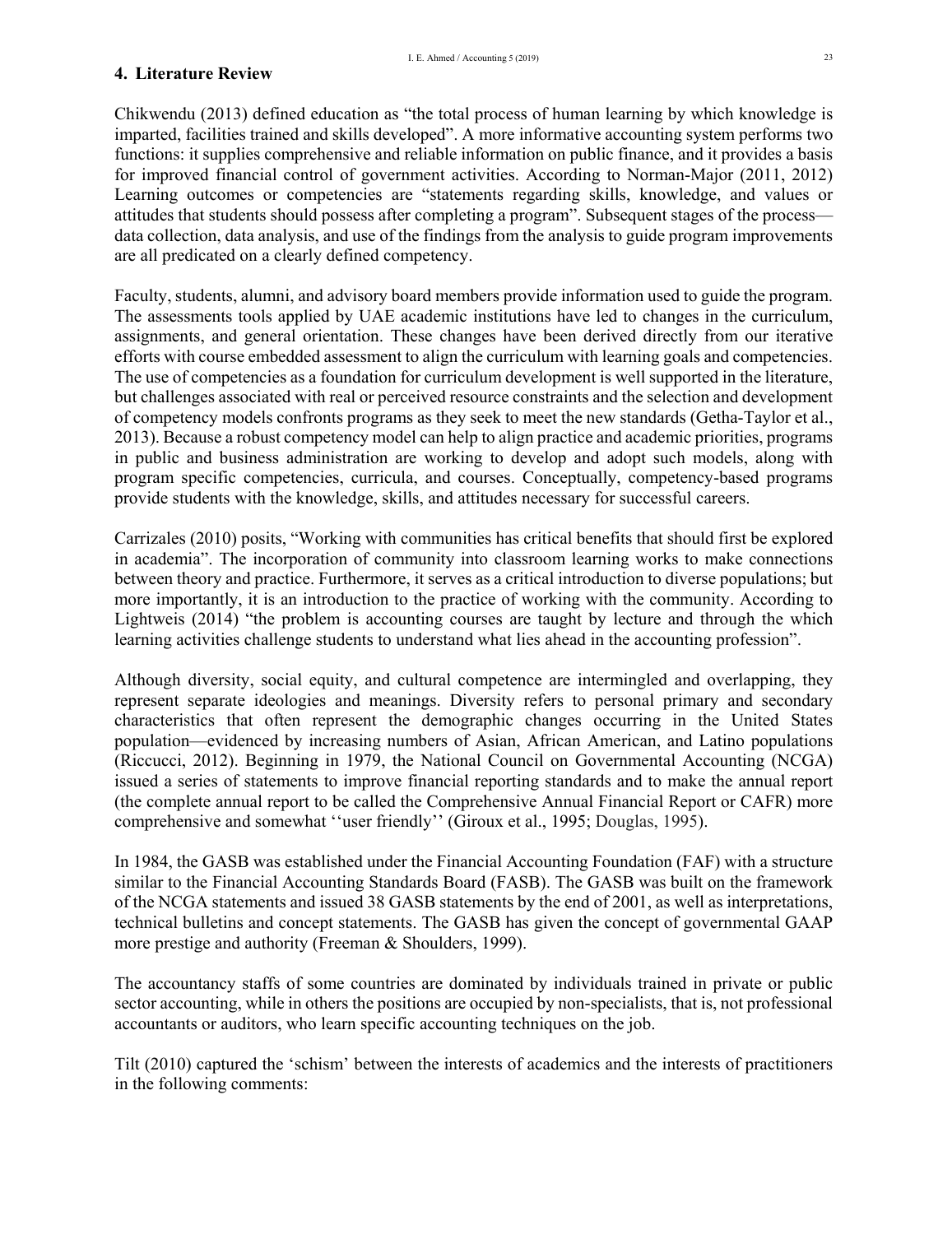### **4. Literature Review**

Chikwendu (2013) defined education as "the total process of human learning by which knowledge is imparted, facilities trained and skills developed". A more informative accounting system performs two functions: it supplies comprehensive and reliable information on public finance, and it provides a basis for improved financial control of government activities. According to Norman-Major (2011, 2012) Learning outcomes or competencies are "statements regarding skills, knowledge, and values or attitudes that students should possess after completing a program". Subsequent stages of the process data collection, data analysis, and use of the findings from the analysis to guide program improvements are all predicated on a clearly defined competency.

Faculty, students, alumni, and advisory board members provide information used to guide the program. The assessments tools applied by UAE academic institutions have led to changes in the curriculum, assignments, and general orientation. These changes have been derived directly from our iterative efforts with course embedded assessment to align the curriculum with learning goals and competencies. The use of competencies as a foundation for curriculum development is well supported in the literature, but challenges associated with real or perceived resource constraints and the selection and development of competency models confronts programs as they seek to meet the new standards (Getha-Taylor et al., 2013). Because a robust competency model can help to align practice and academic priorities, programs in public and business administration are working to develop and adopt such models, along with program specific competencies, curricula, and courses. Conceptually, competency-based programs provide students with the knowledge, skills, and attitudes necessary for successful careers.

Carrizales (2010) posits, "Working with communities has critical benefits that should first be explored in academia". The incorporation of community into classroom learning works to make connections between theory and practice. Furthermore, it serves as a critical introduction to diverse populations; but more importantly, it is an introduction to the practice of working with the community. According to Lightweis (2014) "the problem is accounting courses are taught by lecture and through the which learning activities challenge students to understand what lies ahead in the accounting profession".

Although diversity, social equity, and cultural competence are intermingled and overlapping, they represent separate ideologies and meanings. Diversity refers to personal primary and secondary characteristics that often represent the demographic changes occurring in the United States population—evidenced by increasing numbers of Asian, African American, and Latino populations (Riccucci, 2012). Beginning in 1979, the National Council on Governmental Accounting (NCGA) issued a series of statements to improve financial reporting standards and to make the annual report (the complete annual report to be called the Comprehensive Annual Financial Report or CAFR) more comprehensive and somewhat ''user friendly'' (Giroux et al., 1995; Douglas, 1995).

In 1984, the GASB was established under the Financial Accounting Foundation (FAF) with a structure similar to the Financial Accounting Standards Board (FASB). The GASB was built on the framework of the NCGA statements and issued 38 GASB statements by the end of 2001, as well as interpretations, technical bulletins and concept statements. The GASB has given the concept of governmental GAAP more prestige and authority (Freeman & Shoulders, 1999).

The accountancy staffs of some countries are dominated by individuals trained in private or public sector accounting, while in others the positions are occupied by non-specialists, that is, not professional accountants or auditors, who learn specific accounting techniques on the job.

Tilt (2010) captured the 'schism' between the interests of academics and the interests of practitioners in the following comments: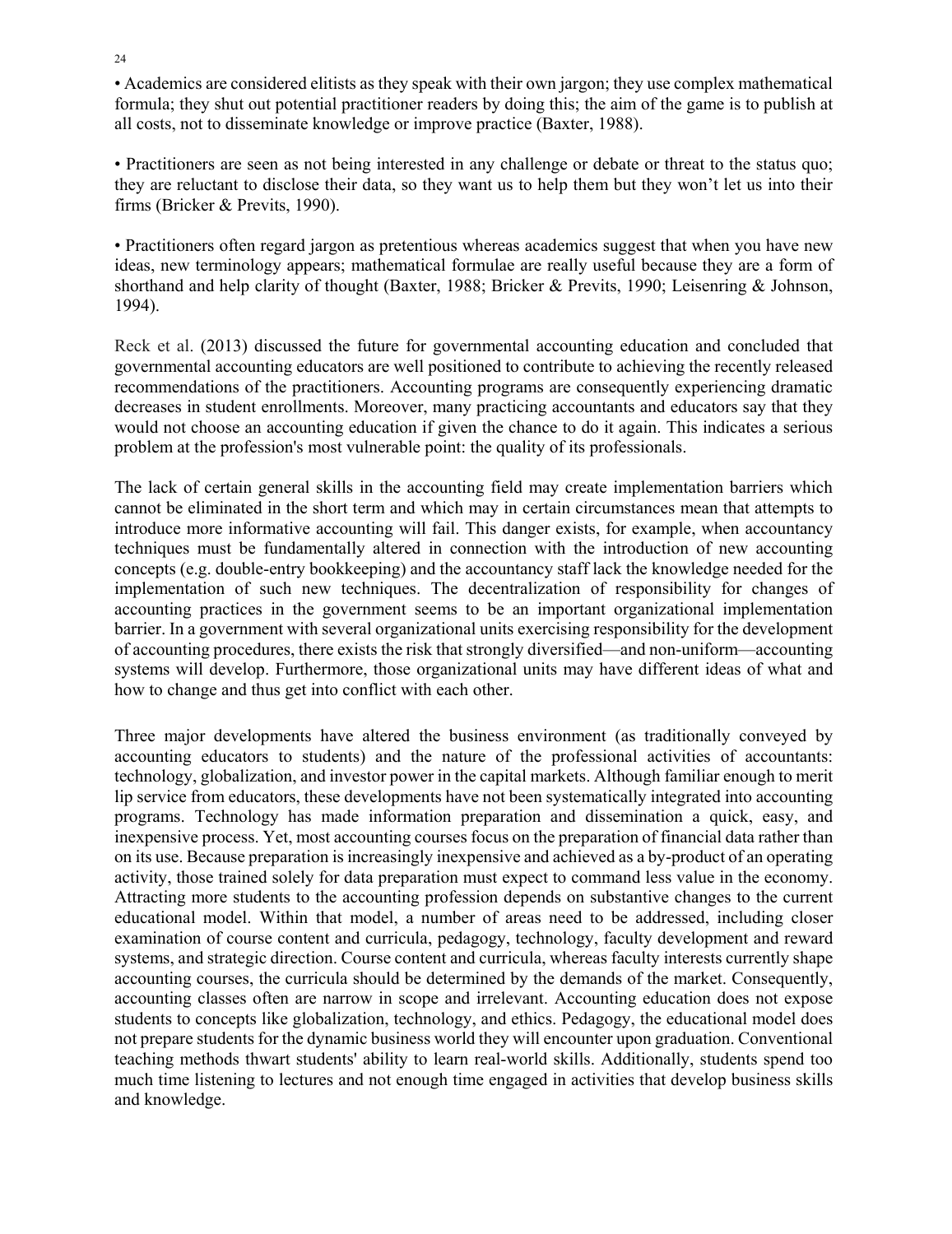• Academics are considered elitists as they speak with their own jargon; they use complex mathematical formula; they shut out potential practitioner readers by doing this; the aim of the game is to publish at all costs, not to disseminate knowledge or improve practice (Baxter, 1988).

• Practitioners are seen as not being interested in any challenge or debate or threat to the status quo; they are reluctant to disclose their data, so they want us to help them but they won't let us into their firms (Bricker & Previts, 1990).

• Practitioners often regard jargon as pretentious whereas academics suggest that when you have new ideas, new terminology appears; mathematical formulae are really useful because they are a form of shorthand and help clarity of thought (Baxter, 1988; Bricker & Previts, 1990; Leisenring & Johnson, 1994).

Reck et al. (2013) discussed the future for governmental accounting education and concluded that governmental accounting educators are well positioned to contribute to achieving the recently released recommendations of the practitioners. Accounting programs are consequently experiencing dramatic decreases in student enrollments. Moreover, many practicing accountants and educators say that they would not choose an accounting education if given the chance to do it again. This indicates a serious problem at the profession's most vulnerable point: the quality of its professionals.

The lack of certain general skills in the accounting field may create implementation barriers which cannot be eliminated in the short term and which may in certain circumstances mean that attempts to introduce more informative accounting will fail. This danger exists, for example, when accountancy techniques must be fundamentally altered in connection with the introduction of new accounting concepts (e.g. double-entry bookkeeping) and the accountancy staff lack the knowledge needed for the implementation of such new techniques. The decentralization of responsibility for changes of accounting practices in the government seems to be an important organizational implementation barrier. In a government with several organizational units exercising responsibility for the development of accounting procedures, there exists the risk that strongly diversified—and non-uniform—accounting systems will develop. Furthermore, those organizational units may have different ideas of what and how to change and thus get into conflict with each other.

Three major developments have altered the business environment (as traditionally conveyed by accounting educators to students) and the nature of the professional activities of accountants: technology, globalization, and investor power in the capital markets. Although familiar enough to merit lip service from educators, these developments have not been systematically integrated into accounting programs. Technology has made information preparation and dissemination a quick, easy, and inexpensive process. Yet, most accounting courses focus on the preparation of financial data rather than on its use. Because preparation is increasingly inexpensive and achieved as a by-product of an operating activity, those trained solely for data preparation must expect to command less value in the economy. Attracting more students to the accounting profession depends on substantive changes to the current educational model. Within that model, a number of areas need to be addressed, including closer examination of course content and curricula, pedagogy, technology, faculty development and reward systems, and strategic direction. Course content and curricula, whereas faculty interests currently shape accounting courses, the curricula should be determined by the demands of the market. Consequently, accounting classes often are narrow in scope and irrelevant. Accounting education does not expose students to concepts like globalization, technology, and ethics. Pedagogy, the educational model does not prepare students for the dynamic business world they will encounter upon graduation. Conventional teaching methods thwart students' ability to learn real-world skills. Additionally, students spend too much time listening to lectures and not enough time engaged in activities that develop business skills and knowledge.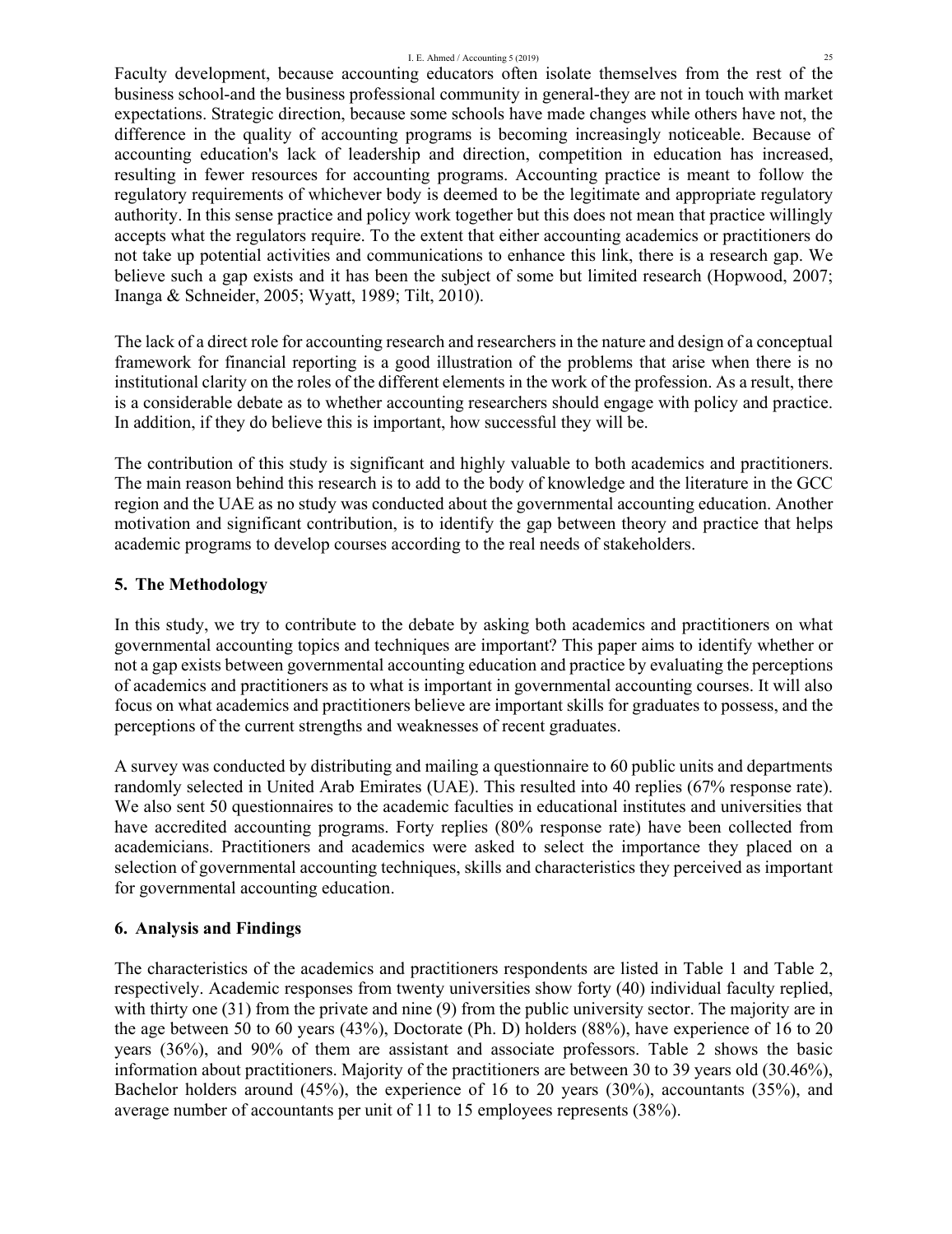#### I. E. Ahmed / Accounting 5 (2019) 25

Faculty development, because accounting educators often isolate themselves from the rest of the business school-and the business professional community in general-they are not in touch with market expectations. Strategic direction, because some schools have made changes while others have not, the difference in the quality of accounting programs is becoming increasingly noticeable. Because of accounting education's lack of leadership and direction, competition in education has increased, resulting in fewer resources for accounting programs. Accounting practice is meant to follow the regulatory requirements of whichever body is deemed to be the legitimate and appropriate regulatory authority. In this sense practice and policy work together but this does not mean that practice willingly accepts what the regulators require. To the extent that either accounting academics or practitioners do not take up potential activities and communications to enhance this link, there is a research gap. We believe such a gap exists and it has been the subject of some but limited research (Hopwood, 2007; Inanga & Schneider, 2005; Wyatt, 1989; Tilt, 2010).

The lack of a direct role for accounting research and researchers in the nature and design of a conceptual framework for financial reporting is a good illustration of the problems that arise when there is no institutional clarity on the roles of the different elements in the work of the profession. As a result, there is a considerable debate as to whether accounting researchers should engage with policy and practice. In addition, if they do believe this is important, how successful they will be.

The contribution of this study is significant and highly valuable to both academics and practitioners. The main reason behind this research is to add to the body of knowledge and the literature in the GCC region and the UAE as no study was conducted about the governmental accounting education. Another motivation and significant contribution, is to identify the gap between theory and practice that helps academic programs to develop courses according to the real needs of stakeholders.

# **5. The Methodology**

In this study, we try to contribute to the debate by asking both academics and practitioners on what governmental accounting topics and techniques are important? This paper aims to identify whether or not a gap exists between governmental accounting education and practice by evaluating the perceptions of academics and practitioners as to what is important in governmental accounting courses. It will also focus on what academics and practitioners believe are important skills for graduates to possess, and the perceptions of the current strengths and weaknesses of recent graduates.

A survey was conducted by distributing and mailing a questionnaire to 60 public units and departments randomly selected in United Arab Emirates (UAE). This resulted into 40 replies (67% response rate). We also sent 50 questionnaires to the academic faculties in educational institutes and universities that have accredited accounting programs. Forty replies (80% response rate) have been collected from academicians. Practitioners and academics were asked to select the importance they placed on a selection of governmental accounting techniques, skills and characteristics they perceived as important for governmental accounting education.

# **6. Analysis and Findings**

The characteristics of the academics and practitioners respondents are listed in Table 1 and Table 2, respectively. Academic responses from twenty universities show forty (40) individual faculty replied, with thirty one (31) from the private and nine (9) from the public university sector. The majority are in the age between 50 to 60 years (43%), Doctorate (Ph. D) holders (88%), have experience of 16 to 20 years (36%), and 90% of them are assistant and associate professors. Table 2 shows the basic information about practitioners. Majority of the practitioners are between 30 to 39 years old (30.46%), Bachelor holders around (45%), the experience of 16 to 20 years (30%), accountants (35%), and average number of accountants per unit of 11 to 15 employees represents (38%).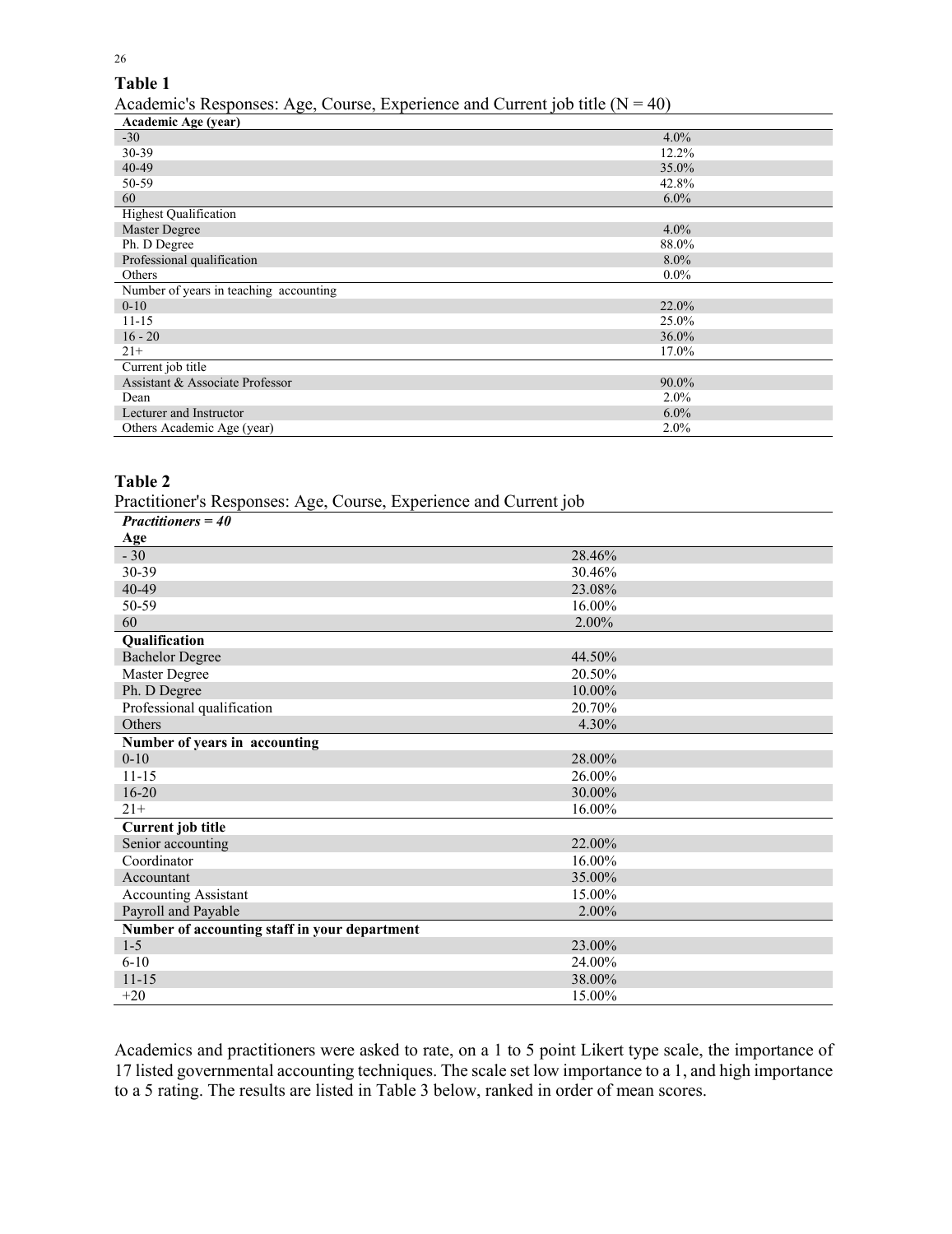# **Table 1**

26

Academic's Responses: Age, Course, Experience and Current job title  $(N = 40)$ 

| $\frac{1}{2}$ readering $\frac{1}{2}$ responses. Trye, Course, Experience and Carrent for this $\frac{1}{2}$<br>$\cdot$ $\circ$ , |          |  |  |  |  |
|-----------------------------------------------------------------------------------------------------------------------------------|----------|--|--|--|--|
| Academic Age (year)                                                                                                               |          |  |  |  |  |
| $-30$                                                                                                                             | $4.0\%$  |  |  |  |  |
| 30-39                                                                                                                             | 12.2%    |  |  |  |  |
| 40-49                                                                                                                             | 35.0%    |  |  |  |  |
| 50-59                                                                                                                             | 42.8%    |  |  |  |  |
| 60                                                                                                                                | $6.0\%$  |  |  |  |  |
| <b>Highest Qualification</b>                                                                                                      |          |  |  |  |  |
| Master Degree                                                                                                                     | $4.0\%$  |  |  |  |  |
| Ph. D Degree                                                                                                                      | 88.0%    |  |  |  |  |
| Professional qualification                                                                                                        | $8.0\%$  |  |  |  |  |
| Others                                                                                                                            | $0.0\%$  |  |  |  |  |
| Number of years in teaching accounting                                                                                            |          |  |  |  |  |
| $0 - 10$                                                                                                                          | 22.0%    |  |  |  |  |
| $11 - 15$                                                                                                                         | 25.0%    |  |  |  |  |
| $16 - 20$                                                                                                                         | 36.0%    |  |  |  |  |
| $21+$                                                                                                                             | 17.0%    |  |  |  |  |
| Current job title                                                                                                                 |          |  |  |  |  |
| Assistant & Associate Professor                                                                                                   | $90.0\%$ |  |  |  |  |
| Dean                                                                                                                              | $2.0\%$  |  |  |  |  |
| Lecturer and Instructor                                                                                                           | $6.0\%$  |  |  |  |  |
| Others Academic Age (year)                                                                                                        | 2.0%     |  |  |  |  |

# **Table 2**

Practitioner's Responses: Age, Course, Experience and Current job

| $Practitioners = 40$                          |        |
|-----------------------------------------------|--------|
| Age                                           |        |
| $-30$                                         | 28.46% |
| 30-39                                         | 30.46% |
| 40-49                                         | 23.08% |
| 50-59                                         | 16.00% |
| 60                                            | 2.00%  |
| Qualification                                 |        |
| <b>Bachelor Degree</b>                        | 44.50% |
| Master Degree                                 | 20.50% |
| Ph. D Degree                                  | 10.00% |
| Professional qualification                    | 20.70% |
| Others                                        | 4.30%  |
| Number of years in accounting                 |        |
| $0 - 10$                                      | 28.00% |
| $11 - 15$                                     | 26.00% |
| $16 - 20$                                     | 30.00% |
| $21+$                                         | 16.00% |
| <b>Current</b> job title                      |        |
| Senior accounting                             | 22.00% |
| Coordinator                                   | 16.00% |
| Accountant                                    | 35.00% |
| <b>Accounting Assistant</b>                   | 15.00% |
| Payroll and Payable                           | 2.00%  |
| Number of accounting staff in your department |        |
| $1-5$                                         | 23.00% |
| $6-10$                                        | 24.00% |
| $11 - 15$                                     | 38.00% |
| $+20$                                         | 15.00% |

Academics and practitioners were asked to rate, on a 1 to 5 point Likert type scale, the importance of 17 listed governmental accounting techniques. The scale set low importance to a 1, and high importance to a 5 rating. The results are listed in Table 3 below, ranked in order of mean scores.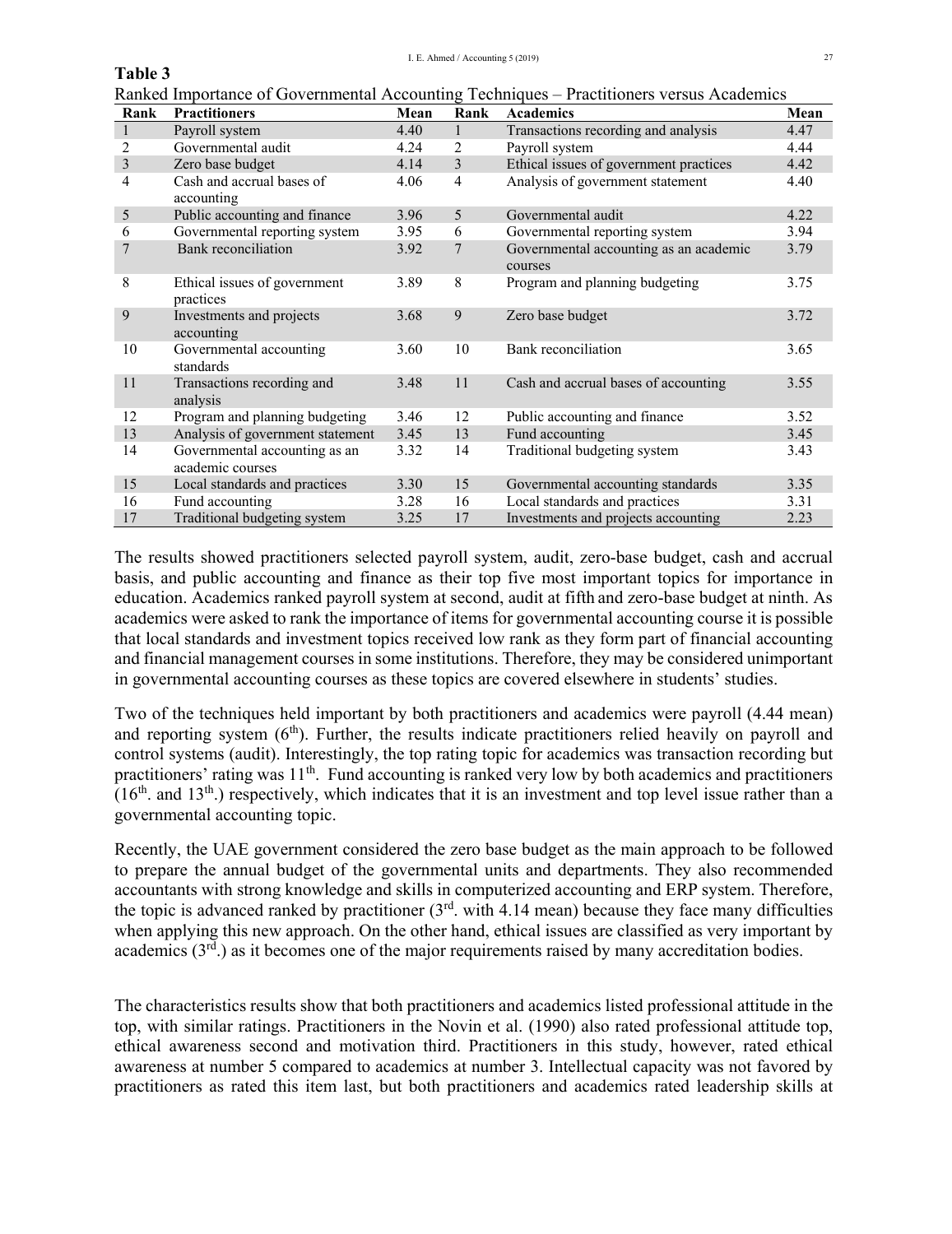# **Table 3**

Ranked Importance of Governmental Accounting Techniques – Practitioners versus Academics

| Rank           | <b>Practitioners</b>                              | Mean | Rank           | Academics                                         | Mean |
|----------------|---------------------------------------------------|------|----------------|---------------------------------------------------|------|
|                | Payroll system                                    | 4.40 | $\mathbf{1}$   | Transactions recording and analysis               | 4.47 |
| 2              | Governmental audit                                | 4.24 | 2              | Payroll system                                    | 4.44 |
| $\mathfrak{Z}$ | Zero base budget                                  | 4.14 | $\overline{3}$ | Ethical issues of government practices            | 4.42 |
| 4              | Cash and accrual bases of<br>accounting           | 4.06 | $\overline{4}$ | Analysis of government statement                  | 4.40 |
| 5              | Public accounting and finance                     | 3.96 | $\overline{5}$ | Governmental audit                                | 4.22 |
| 6              | Governmental reporting system                     | 3.95 | 6              | Governmental reporting system                     | 3.94 |
| 7              | Bank reconciliation                               | 3.92 | 7              | Governmental accounting as an academic<br>courses | 3.79 |
| 8              | Ethical issues of government<br>practices         | 3.89 | 8              | Program and planning budgeting                    | 3.75 |
| 9              | Investments and projects<br>accounting            | 3.68 | 9              | Zero base budget                                  | 3.72 |
| 10             | Governmental accounting<br>standards              | 3.60 | 10             | Bank reconciliation                               | 3.65 |
| 11             | Transactions recording and<br>analysis            | 3.48 | 11             | Cash and accrual bases of accounting              | 3.55 |
| 12             | Program and planning budgeting                    | 3.46 | 12             | Public accounting and finance                     | 3.52 |
| 13             | Analysis of government statement                  | 3.45 | 13             | Fund accounting                                   | 3.45 |
| 14             | Governmental accounting as an<br>academic courses | 3.32 | 14             | Traditional budgeting system                      | 3.43 |
| 15             | Local standards and practices                     | 3.30 | 15             | Governmental accounting standards                 | 3.35 |
| 16             | Fund accounting                                   | 3.28 | 16             | Local standards and practices                     | 3.31 |
| 17             | Traditional budgeting system                      | 3.25 | 17             | Investments and projects accounting               | 2.23 |

The results showed practitioners selected payroll system, audit, zero-base budget, cash and accrual basis, and public accounting and finance as their top five most important topics for importance in education. Academics ranked payroll system at second, audit at fifth and zero-base budget at ninth. As academics were asked to rank the importance of items for governmental accounting course it is possible that local standards and investment topics received low rank as they form part of financial accounting and financial management courses in some institutions. Therefore, they may be considered unimportant in governmental accounting courses as these topics are covered elsewhere in students' studies.

Two of the techniques held important by both practitioners and academics were payroll (4.44 mean) and reporting system  $(6<sup>th</sup>)$ . Further, the results indicate practitioners relied heavily on payroll and control systems (audit). Interestingly, the top rating topic for academics was transaction recording but practitioners' rating was 11<sup>th</sup>. Fund accounting is ranked very low by both academics and practitioners  $(16<sup>th</sup>$  and  $13<sup>th</sup>$ ) respectively, which indicates that it is an investment and top level issue rather than a governmental accounting topic.

Recently, the UAE government considered the zero base budget as the main approach to be followed to prepare the annual budget of the governmental units and departments. They also recommended accountants with strong knowledge and skills in computerized accounting and ERP system. Therefore, the topic is advanced ranked by practitioner  $(3<sup>rd</sup> \cdot \text{with } 4.14 \cdot \text{mean})$  because they face many difficulties when applying this new approach. On the other hand, ethical issues are classified as very important by academics  $(3^{rd})$  as it becomes one of the major requirements raised by many accreditation bodies.

The characteristics results show that both practitioners and academics listed professional attitude in the top, with similar ratings. Practitioners in the Novin et al. (1990) also rated professional attitude top, ethical awareness second and motivation third. Practitioners in this study, however, rated ethical awareness at number 5 compared to academics at number 3. Intellectual capacity was not favored by practitioners as rated this item last, but both practitioners and academics rated leadership skills at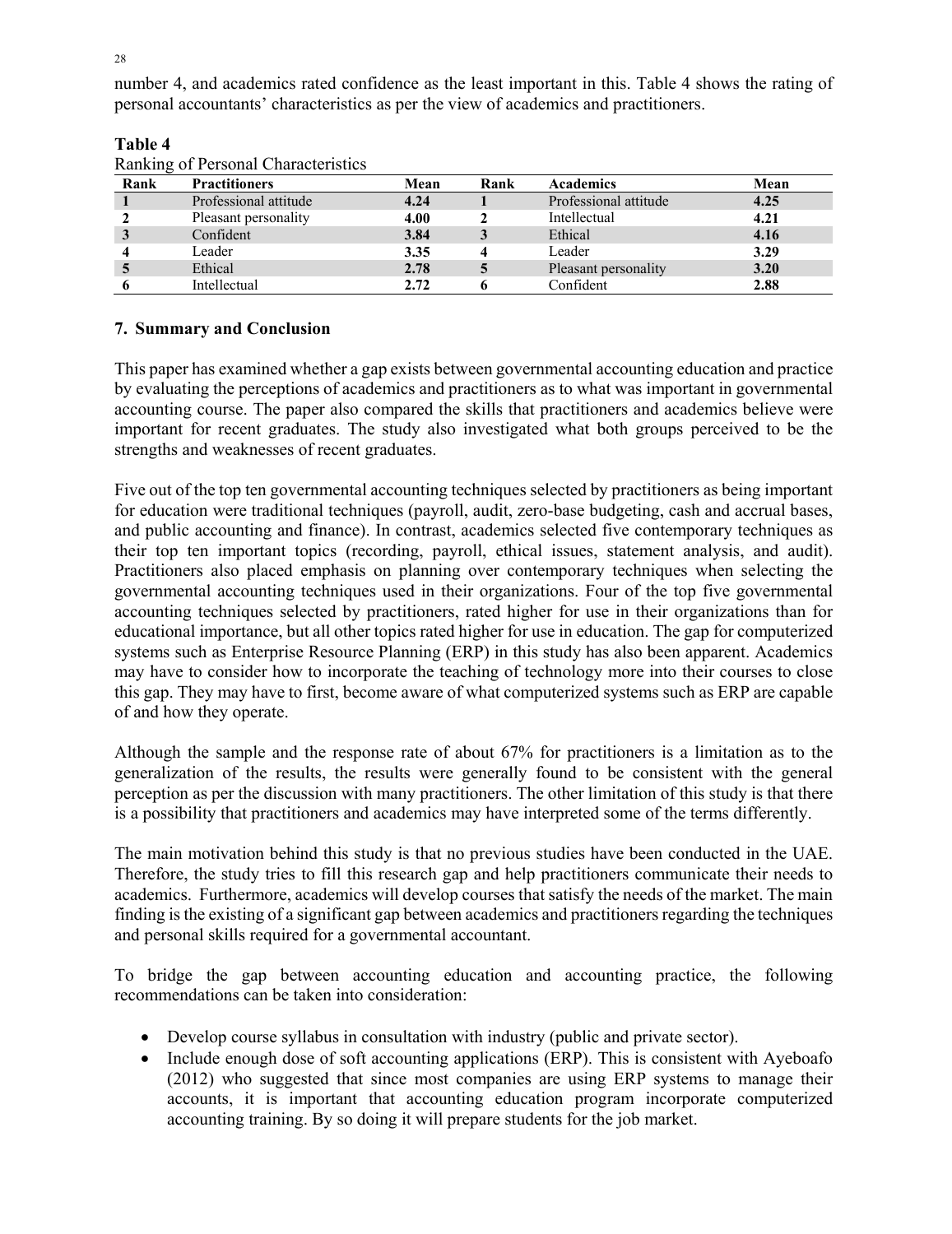number 4, and academics rated confidence as the least important in this. Table 4 shows the rating of personal accountants' characteristics as per the view of academics and practitioners.

| Rank | <b>Practitioners</b>  | Mean | Rank | <b>Academics</b>      | Mean |
|------|-----------------------|------|------|-----------------------|------|
|      | Professional attitude | 4.24 |      | Professional attitude | 4.25 |
|      | Pleasant personality  | 4.00 |      | Intellectual          | 4.21 |
| J    | Confident             | 3.84 |      | Ethical               | 4.16 |
|      | Leader                | 3.35 |      | Leader                | 3.29 |
|      | Ethical               | 2.78 |      | Pleasant personality  | 3.20 |
|      | Intellectual          | 2.72 |      | Confident             | 2.88 |

## **Table 4**

## **7. Summary and Conclusion**

This paper has examined whether a gap exists between governmental accounting education and practice by evaluating the perceptions of academics and practitioners as to what was important in governmental accounting course. The paper also compared the skills that practitioners and academics believe were important for recent graduates. The study also investigated what both groups perceived to be the strengths and weaknesses of recent graduates.

Five out of the top ten governmental accounting techniques selected by practitioners as being important for education were traditional techniques (payroll, audit, zero-base budgeting, cash and accrual bases, and public accounting and finance). In contrast, academics selected five contemporary techniques as their top ten important topics (recording, payroll, ethical issues, statement analysis, and audit). Practitioners also placed emphasis on planning over contemporary techniques when selecting the governmental accounting techniques used in their organizations. Four of the top five governmental accounting techniques selected by practitioners, rated higher for use in their organizations than for educational importance, but all other topics rated higher for use in education. The gap for computerized systems such as Enterprise Resource Planning (ERP) in this study has also been apparent. Academics may have to consider how to incorporate the teaching of technology more into their courses to close this gap. They may have to first, become aware of what computerized systems such as ERP are capable of and how they operate.

Although the sample and the response rate of about 67% for practitioners is a limitation as to the generalization of the results, the results were generally found to be consistent with the general perception as per the discussion with many practitioners. The other limitation of this study is that there is a possibility that practitioners and academics may have interpreted some of the terms differently.

The main motivation behind this study is that no previous studies have been conducted in the UAE. Therefore, the study tries to fill this research gap and help practitioners communicate their needs to academics. Furthermore, academics will develop courses that satisfy the needs of the market. The main finding is the existing of a significant gap between academics and practitioners regarding the techniques and personal skills required for a governmental accountant.

To bridge the gap between accounting education and accounting practice, the following recommendations can be taken into consideration:

- Develop course syllabus in consultation with industry (public and private sector).
- Include enough dose of soft accounting applications (ERP). This is consistent with Ayeboafo (2012) who suggested that since most companies are using ERP systems to manage their accounts, it is important that accounting education program incorporate computerized accounting training. By so doing it will prepare students for the job market.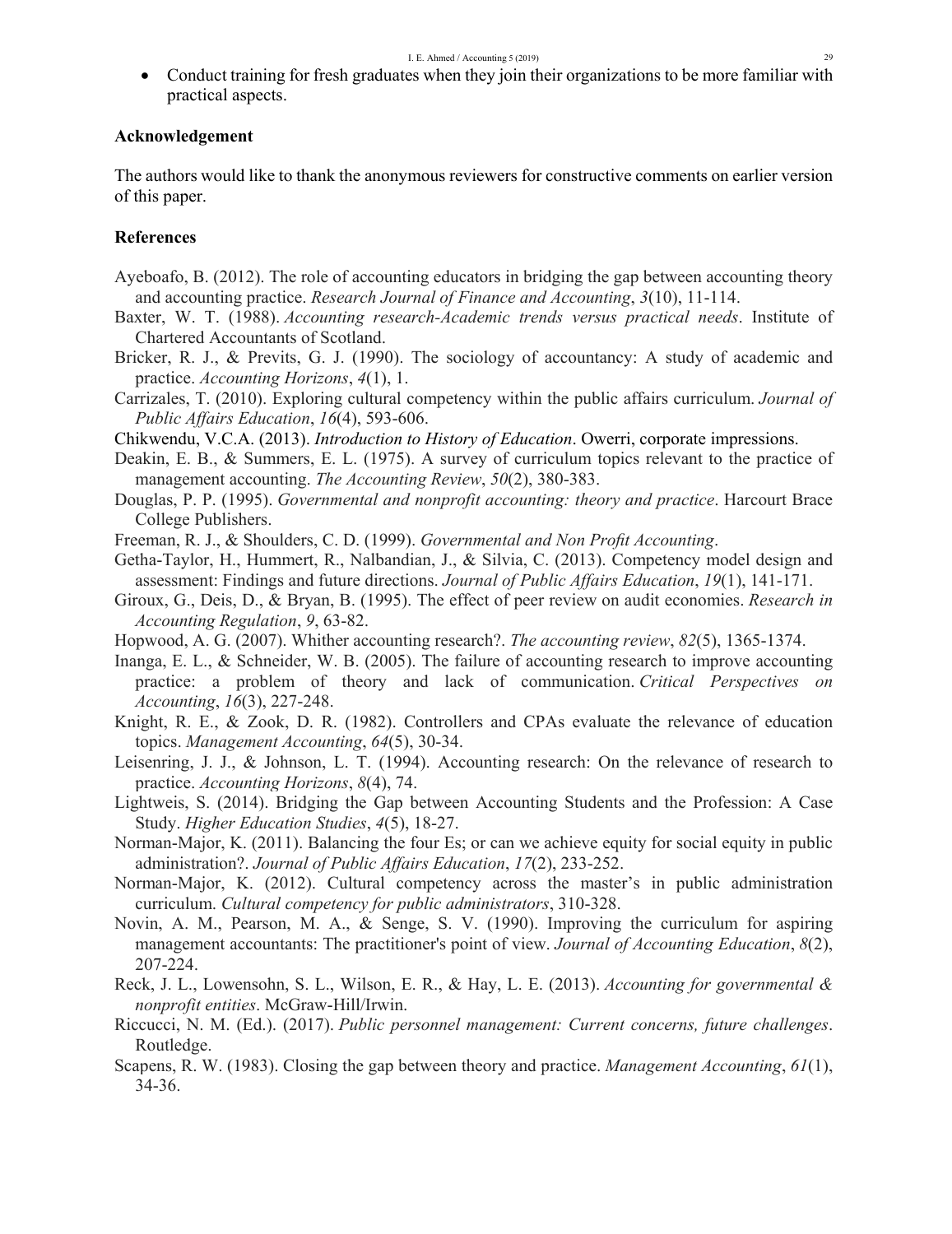Conduct training for fresh graduates when they join their organizations to be more familiar with practical aspects.

# **Acknowledgement**

The authors would like to thank the anonymous reviewers for constructive comments on earlier version of this paper.

# **References**

- Ayeboafo, B. (2012). The role of accounting educators in bridging the gap between accounting theory and accounting practice. *Research Journal of Finance and Accounting*, *3*(10), 11-114.
- Baxter, W. T. (1988). *Accounting research-Academic trends versus practical needs*. Institute of Chartered Accountants of Scotland.
- Bricker, R. J., & Previts, G. J. (1990). The sociology of accountancy: A study of academic and practice. *Accounting Horizons*, *4*(1), 1.
- Carrizales, T. (2010). Exploring cultural competency within the public affairs curriculum. *Journal of Public Affairs Education*, *16*(4), 593-606.

Chikwendu, V.C.A. (2013). *Introduction to History of Education*. Owerri, corporate impressions.

- Deakin, E. B., & Summers, E. L. (1975). A survey of curriculum topics relevant to the practice of management accounting. *The Accounting Review*, *50*(2), 380-383.
- Douglas, P. P. (1995). *Governmental and nonprofit accounting: theory and practice*. Harcourt Brace College Publishers.
- Freeman, R. J., & Shoulders, C. D. (1999). *Governmental and Non Profit Accounting*.
- Getha-Taylor, H., Hummert, R., Nalbandian, J., & Silvia, C. (2013). Competency model design and assessment: Findings and future directions. *Journal of Public Affairs Education*, *19*(1), 141-171.
- Giroux, G., Deis, D., & Bryan, B. (1995). The effect of peer review on audit economies. *Research in Accounting Regulation*, *9*, 63-82.
- Hopwood, A. G. (2007). Whither accounting research?. *The accounting review*, *82*(5), 1365-1374.
- Inanga, E. L., & Schneider, W. B. (2005). The failure of accounting research to improve accounting practice: a problem of theory and lack of communication. *Critical Perspectives on Accounting*, *16*(3), 227-248.
- Knight, R. E., & Zook, D. R. (1982). Controllers and CPAs evaluate the relevance of education topics. *Management Accounting*, *64*(5), 30-34.
- Leisenring, J. J., & Johnson, L. T. (1994). Accounting research: On the relevance of research to practice. *Accounting Horizons*, *8*(4), 74.
- Lightweis, S. (2014). Bridging the Gap between Accounting Students and the Profession: A Case Study. *Higher Education Studies*, *4*(5), 18-27.
- Norman-Major, K. (2011). Balancing the four Es; or can we achieve equity for social equity in public administration?. *Journal of Public Affairs Education*, *17*(2), 233-252.
- Norman-Major, K. (2012). Cultural competency across the master's in public administration curriculum. *Cultural competency for public administrators*, 310-328.
- Novin, A. M., Pearson, M. A., & Senge, S. V. (1990). Improving the curriculum for aspiring management accountants: The practitioner's point of view. *Journal of Accounting Education*, *8*(2), 207-224.
- Reck, J. L., Lowensohn, S. L., Wilson, E. R., & Hay, L. E. (2013). *Accounting for governmental & nonprofit entities*. McGraw-Hill/Irwin.
- Riccucci, N. M. (Ed.). (2017). *Public personnel management: Current concerns, future challenges*. Routledge.
- Scapens, R. W. (1983). Closing the gap between theory and practice. *Management Accounting*, *61*(1), 34-36.